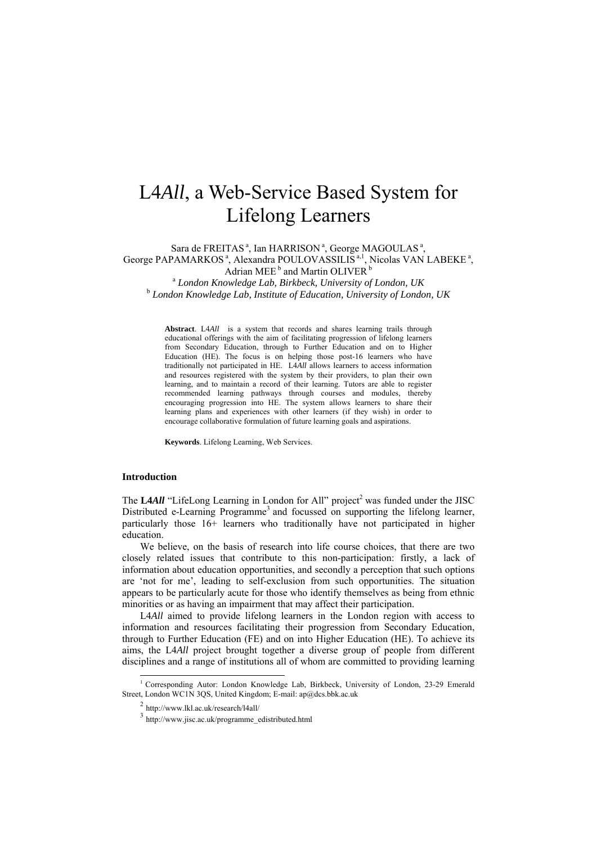# L4*All*, a Web-Service Based System for Lifelong Learners

Sara de FREITAS<sup>a</sup>, Ian HARRISON<sup>a</sup>, George MAGOULAS<sup>a</sup>, George PAPAMARKOS<sup>a</sup>, Alexandra POULOVASSILIS<sup>a,1</sup>, Nicolas VAN LABEKE<sup>a</sup>, Adrian MEE<sup>b</sup> and Martin OLIVER<sup>b</sup>

<sup>a</sup> London Knowledge Lab, Birkbeck, University of London, UK <sup>b</sup> London Knowledge Lab, Institute of Education, University of London, UK

**Abstract**. L4*All* is a system that records and shares learning trails through educational offerings with the aim of facilitating progression of lifelong learners from Secondary Education, through to Further Education and on to Higher Education (HE). The focus is on helping those post-16 learners who have traditionally not participated in HE. L4*All* allows learners to access information and resources registered with the system by their providers, to plan their own learning, and to maintain a record of their learning. Tutors are able to register recommended learning pathways through courses and modules, thereby encouraging progression into HE. The system allows learners to share their learning plans and experiences with other learners (if they wish) in order to encourage collaborative formulation of future learning goals and aspirations.

**Keywords**. Lifelong Learning, Web Services.

## **Introduction**

The **L4All** "LifeLong Learning in London for All" project<sup>2</sup> was funded under the JISC Distributed e-Learning Programme<sup>3</sup> and focussed on supporting the lifelong learner, particularly those 16+ learners who traditionally have not participated in higher education.

We believe, on the basis of research into life course choices, that there are two closely related issues that contribute to this non-participation: firstly, a lack of information about education opportunities, and secondly a perception that such options are 'not for me', leading to self-exclusion from such opportunities. The situation appears to be particularly acute for those who identify themselves as being from ethnic minorities or as having an impairment that may affect their participation.

L4*All* aimed to provide lifelong learners in the London region with access to information and resources facilitating their progression from Secondary Education, through to Further Education (FE) and on into Higher Education (HE). To achieve its aims, the L4*All* project brought together a diverse group of people from different disciplines and a range of institutions all of whom are committed to providing learning

 1 Corresponding Autor: London Knowledge Lab, Birkbeck, University of London, 23-29 Emerald Street, London WC1N 3QS, United Kingdom; E-mail: ap@dcs.bbk.ac.uk

<sup>2</sup> http://www.lkl.ac.uk/research/l4all/

<sup>3</sup> http://www.jisc.ac.uk/programme\_edistributed.html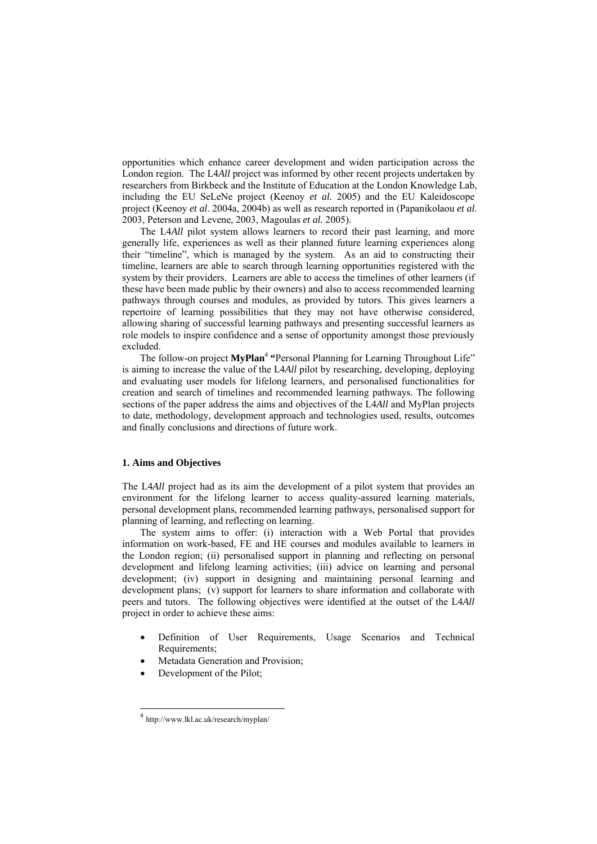opportunities which enhance career development and widen participation across the London region. The L4*All* project was informed by other recent projects undertaken by researchers from Birkbeck and the Institute of Education at the London Knowledge Lab, including the EU SeLeNe project (Keenoy *et al.* 2005) and the EU Kaleidoscope project (Keenoy *et al*. 2004a, 2004b) as well as research reported in (Papanikolaou *et al*. 2003, Peterson and Levene, 2003, Magoulas *et al.* 2005).

The L4*All* pilot system allows learners to record their past learning, and more generally life, experiences as well as their planned future learning experiences along their "timeline", which is managed by the system. As an aid to constructing their timeline, learners are able to search through learning opportunities registered with the system by their providers. Learners are able to access the timelines of other learners (if these have been made public by their owners) and also to access recommended learning pathways through courses and modules, as provided by tutors. This gives learners a repertoire of learning possibilities that they may not have otherwise considered, allowing sharing of successful learning pathways and presenting successful learners as role models to inspire confidence and a sense of opportunity amongst those previously excluded.

The follow-on project MyPlan<sup>4</sup> "Personal Planning for Learning Throughout Life" is aiming to increase the value of the L4*All* pilot by researching, developing, deploying and evaluating user models for lifelong learners, and personalised functionalities for creation and search of timelines and recommended learning pathways. The following sections of the paper address the aims and objectives of the L4*All* and MyPlan projects to date, methodology, development approach and technologies used, results, outcomes and finally conclusions and directions of future work.

#### **1. Aims and Objectives**

The L4*All* project had as its aim the development of a pilot system that provides an environment for the lifelong learner to access quality-assured learning materials, personal development plans, recommended learning pathways, personalised support for planning of learning, and reflecting on learning.

The system aims to offer: (i) interaction with a Web Portal that provides information on work-based, FE and HE courses and modules available to learners in the London region; (ii) personalised support in planning and reflecting on personal development and lifelong learning activities; (iii) advice on learning and personal development; (iv) support in designing and maintaining personal learning and development plans; (v) support for learners to share information and collaborate with peers and tutors. The following objectives were identified at the outset of the L4*All* project in order to achieve these aims:

- Definition of User Requirements, Usage Scenarios and Technical Requirements;
- Metadata Generation and Provision;
- Development of the Pilot;

1

<sup>4</sup> http://www.lkl.ac.uk/research/myplan/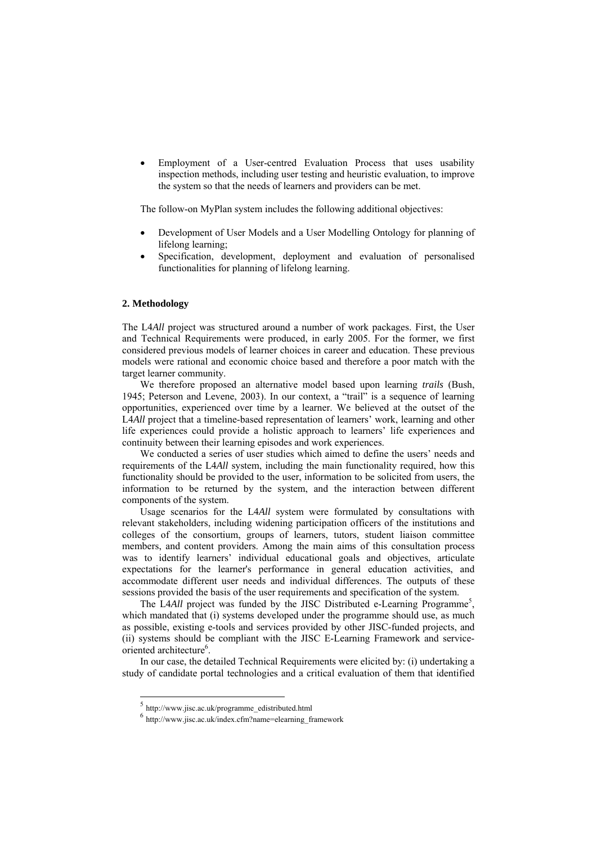Employment of a User-centred Evaluation Process that uses usability inspection methods, including user testing and heuristic evaluation, to improve the system so that the needs of learners and providers can be met.

The follow-on MyPlan system includes the following additional objectives:

- Development of User Models and a User Modelling Ontology for planning of lifelong learning;
- Specification, development, deployment and evaluation of personalised functionalities for planning of lifelong learning.

## **2. Methodology**

The L4*All* project was structured around a number of work packages. First, the User and Technical Requirements were produced, in early 2005. For the former, we first considered previous models of learner choices in career and education. These previous models were rational and economic choice based and therefore a poor match with the target learner community.

We therefore proposed an alternative model based upon learning *trails* (Bush, 1945; Peterson and Levene, 2003). In our context, a "trail" is a sequence of learning opportunities, experienced over time by a learner. We believed at the outset of the L4*All* project that a timeline-based representation of learners' work, learning and other life experiences could provide a holistic approach to learners' life experiences and continuity between their learning episodes and work experiences.

We conducted a series of user studies which aimed to define the users' needs and requirements of the L4*All* system, including the main functionality required, how this functionality should be provided to the user, information to be solicited from users, the information to be returned by the system, and the interaction between different components of the system.

Usage scenarios for the L4*All* system were formulated by consultations with relevant stakeholders, including widening participation officers of the institutions and colleges of the consortium, groups of learners, tutors, student liaison committee members, and content providers. Among the main aims of this consultation process was to identify learners' individual educational goals and objectives, articulate expectations for the learner's performance in general education activities, and accommodate different user needs and individual differences. The outputs of these sessions provided the basis of the user requirements and specification of the system.

The L4All project was funded by the JISC Distributed e-Learning Programme<sup>5</sup>, which mandated that (i) systems developed under the programme should use, as much as possible, existing e-tools and services provided by other JISC-funded projects, and (ii) systems should be compliant with the JISC E-Learning Framework and serviceoriented architecture<sup>6</sup>.

In our case, the detailed Technical Requirements were elicited by: (i) undertaking a study of candidate portal technologies and a critical evaluation of them that identified

-

 $5$  http://www.jisc.ac.uk/programme\_edistributed.html

 $6$  http://www.jisc.ac.uk/index.cfm?name=elearning\_framework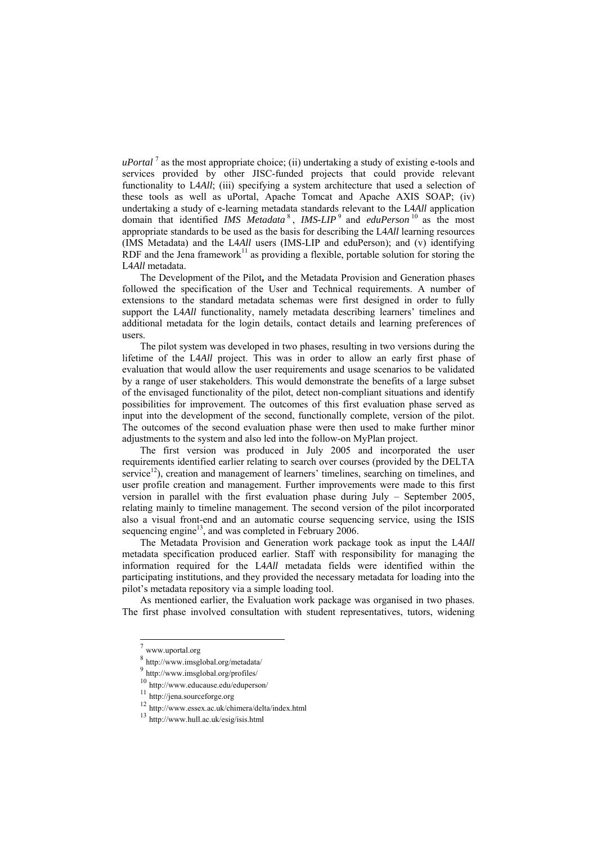uPortal<sup>7</sup> as the most appropriate choice; (ii) undertaking a study of existing e-tools and services provided by other JISC-funded projects that could provide relevant functionality to L4*All*; (iii) specifying a system architecture that used a selection of these tools as well as uPortal, Apache Tomcat and Apache AXIS SOAP; (iv) undertaking a study of e-learning metadata standards relevant to the L4*All* application domain that identified *IMS Metadata* <sup>8</sup> , *IMS-LIP* 9 and *eduPerson* 10 as the most appropriate standards to be used as the basis for describing the L4*All* learning resources (IMS Metadata) and the L4*All* users (IMS-LIP and eduPerson); and (v) identifying RDF and the Jena framework<sup>11</sup> as providing a flexible, portable solution for storing the L4*All* metadata.

The Development of the Pilot**,** and the Metadata Provision and Generation phases followed the specification of the User and Technical requirements. A number of extensions to the standard metadata schemas were first designed in order to fully support the L4*All* functionality, namely metadata describing learners' timelines and additional metadata for the login details, contact details and learning preferences of users.

The pilot system was developed in two phases, resulting in two versions during the lifetime of the L4*All* project. This was in order to allow an early first phase of evaluation that would allow the user requirements and usage scenarios to be validated by a range of user stakeholders. This would demonstrate the benefits of a large subset of the envisaged functionality of the pilot, detect non-compliant situations and identify possibilities for improvement. The outcomes of this first evaluation phase served as input into the development of the second, functionally complete, version of the pilot. The outcomes of the second evaluation phase were then used to make further minor adjustments to the system and also led into the follow-on MyPlan project.

The first version was produced in July 2005 and incorporated the user requirements identified earlier relating to search over courses (provided by the DELTA service<sup>12</sup>), creation and management of learners' timelines, searching on timelines, and user profile creation and management. Further improvements were made to this first version in parallel with the first evaluation phase during July – September 2005, relating mainly to timeline management. The second version of the pilot incorporated also a visual front-end and an automatic course sequencing service, using the ISIS sequencing engine<sup>13</sup>, and was completed in February 2006.

The Metadata Provision and Generation work package took as input the L4*All*  metadata specification produced earlier. Staff with responsibility for managing the information required for the L4*All* metadata fields were identified within the participating institutions, and they provided the necessary metadata for loading into the pilot's metadata repository via a simple loading tool.

As mentioned earlier, the Evaluation work package was organised in two phases. The first phase involved consultation with student representatives, tutors, widening

1

<sup>7</sup> www.uportal.org

<sup>8</sup> http://www.imsglobal.org/metadata/

<sup>9</sup> http://www.imsglobal.org/profiles/

<sup>10</sup> http://www.educause.edu/eduperson/

<sup>11</sup> http://jena.sourceforge.org

<sup>12</sup> http://www.essex.ac.uk/chimera/delta/index.html

<sup>13</sup> http://www.hull.ac.uk/esig/isis.html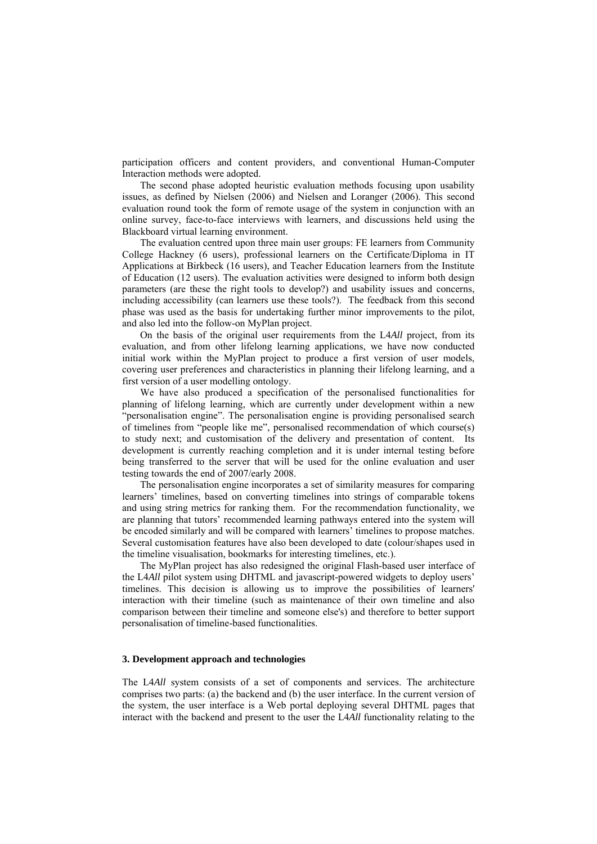participation officers and content providers, and conventional Human-Computer Interaction methods were adopted.

The second phase adopted heuristic evaluation methods focusing upon usability issues, as defined by Nielsen (2006) and Nielsen and Loranger (2006). This second evaluation round took the form of remote usage of the system in conjunction with an online survey, face-to-face interviews with learners, and discussions held using the Blackboard virtual learning environment.

The evaluation centred upon three main user groups: FE learners from Community College Hackney (6 users), professional learners on the Certificate/Diploma in IT Applications at Birkbeck (16 users), and Teacher Education learners from the Institute of Education (12 users). The evaluation activities were designed to inform both design parameters (are these the right tools to develop?) and usability issues and concerns, including accessibility (can learners use these tools?). The feedback from this second phase was used as the basis for undertaking further minor improvements to the pilot, and also led into the follow-on MyPlan project.

On the basis of the original user requirements from the L4*All* project, from its evaluation, and from other lifelong learning applications, we have now conducted initial work within the MyPlan project to produce a first version of user models, covering user preferences and characteristics in planning their lifelong learning, and a first version of a user modelling ontology.

We have also produced a specification of the personalised functionalities for planning of lifelong learning, which are currently under development within a new "personalisation engine". Τhe personalisation engine is providing personalised search of timelines from "people like me", personalised recommendation of which course(s) to study next; and customisation of the delivery and presentation of content. Its development is currently reaching completion and it is under internal testing before being transferred to the server that will be used for the online evaluation and user testing towards the end of 2007/early 2008.

The personalisation engine incorporates a set of similarity measures for comparing learners' timelines, based on converting timelines into strings of comparable tokens and using string metrics for ranking them. For the recommendation functionality, we are planning that tutors' recommended learning pathways entered into the system will be encoded similarly and will be compared with learners' timelines to propose matches. Several customisation features have also been developed to date (colour/shapes used in the timeline visualisation, bookmarks for interesting timelines, etc.).

The MyPlan project has also redesigned the original Flash-based user interface of the L4*All* pilot system using DHTML and javascript-powered widgets to deploy users' timelines. This decision is allowing us to improve the possibilities of learners' interaction with their timeline (such as maintenance of their own timeline and also comparison between their timeline and someone else's) and therefore to better support personalisation of timeline-based functionalities.

## **3. Development approach and technologies**

The L4*All* system consists of a set of components and services. The architecture comprises two parts: (a) the backend and (b) the user interface. In the current version of the system, the user interface is a Web portal deploying several DHTML pages that interact with the backend and present to the user the L4*All* functionality relating to the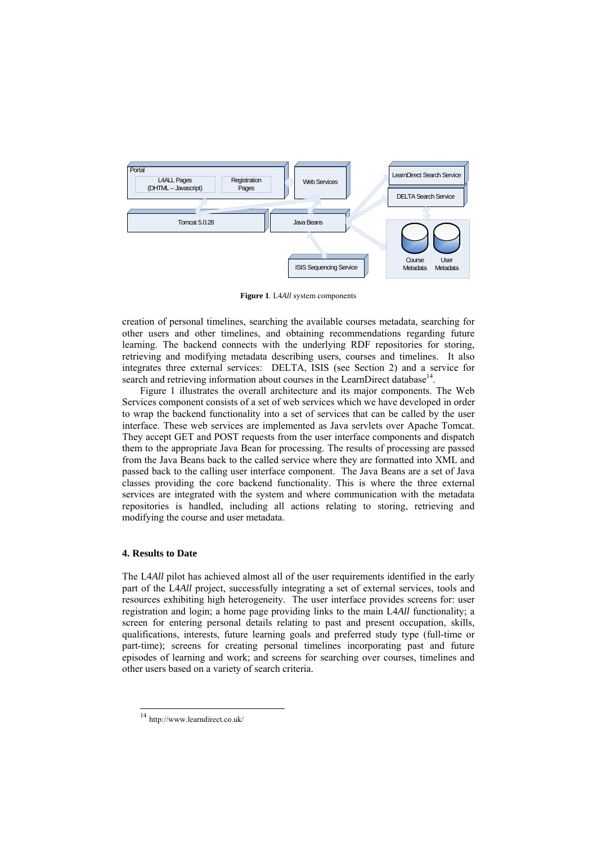

**Figure 1**. L4*All* system components

creation of personal timelines, searching the available courses metadata, searching for other users and other timelines, and obtaining recommendations regarding future learning. The backend connects with the underlying RDF repositories for storing, retrieving and modifying metadata describing users, courses and timelines. It also integrates three external services: DELTA, ISIS (see Section 2) and a service for search and retrieving information about courses in the LearnDirect database $14$ .

Figure 1 illustrates the overall architecture and its major components. The Web Services component consists of a set of web services which we have developed in order to wrap the backend functionality into a set of services that can be called by the user interface. These web services are implemented as Java servlets over Apache Tomcat. They accept GET and POST requests from the user interface components and dispatch them to the appropriate Java Bean for processing. The results of processing are passed from the Java Beans back to the called service where they are formatted into XML and passed back to the calling user interface component. The Java Beans are a set of Java classes providing the core backend functionality. This is where the three external services are integrated with the system and where communication with the metadata repositories is handled, including all actions relating to storing, retrieving and modifying the course and user metadata.

#### **4. Results to Date**

1

The L4*All* pilot has achieved almost all of the user requirements identified in the early part of the L4*All* project, successfully integrating a set of external services, tools and resources exhibiting high heterogeneity. The user interface provides screens for: user registration and login; a home page providing links to the main L4*All* functionality; a screen for entering personal details relating to past and present occupation, skills, qualifications, interests, future learning goals and preferred study type (full-time or part-time); screens for creating personal timelines incorporating past and future episodes of learning and work; and screens for searching over courses, timelines and other users based on a variety of search criteria.

<sup>14</sup> http://www.learndirect.co.uk/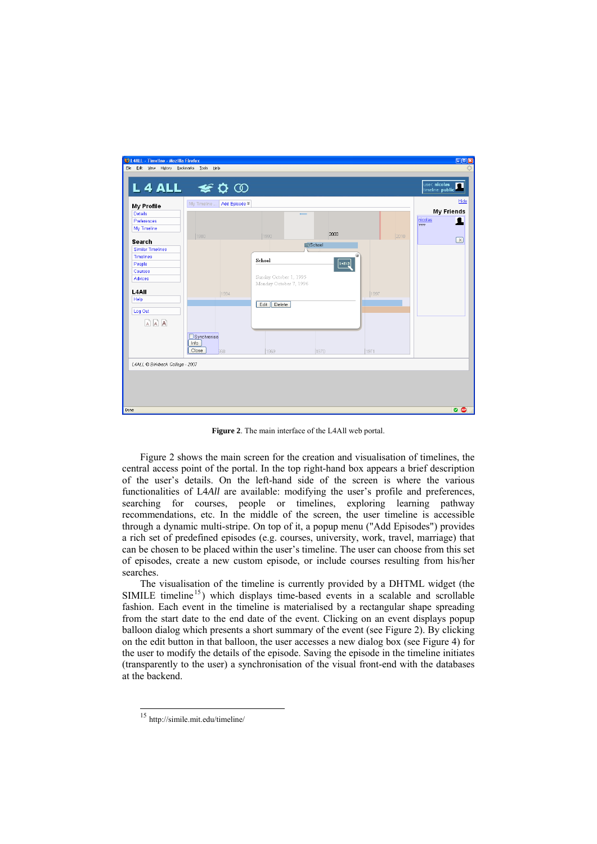

**Figure 2**. The main interface of the L4All web portal.

Figure 2 shows the main screen for the creation and visualisation of timelines, the central access point of the portal. In the top right-hand box appears a brief description of the user's details. On the left-hand side of the screen is where the various functionalities of L4*All* are available: modifying the user's profile and preferences, searching for courses, people or timelines, exploring learning pathway recommendations, etc. In the middle of the screen, the user timeline is accessible through a dynamic multi-stripe. On top of it, a popup menu ("Add Episodes") provides a rich set of predefined episodes (e.g. courses, university, work, travel, marriage) that can be chosen to be placed within the user's timeline. The user can choose from this set of episodes, create a new custom episode, or include courses resulting from his/her searches.

The visualisation of the timeline is currently provided by a DHTML widget (the SIMILE timeline<sup>15</sup>) which displays time-based events in a scalable and scrollable fashion. Each event in the timeline is materialised by a rectangular shape spreading from the start date to the end date of the event. Clicking on an event displays popup balloon dialog which presents a short summary of the event (see Figure 2). By clicking on the edit button in that balloon, the user accesses a new dialog box (see Figure 4) for the user to modify the details of the episode. Saving the episode in the timeline initiates (transparently to the user) a synchronisation of the visual front-end with the databases at the backend.

1

<sup>15</sup> http://simile.mit.edu/timeline/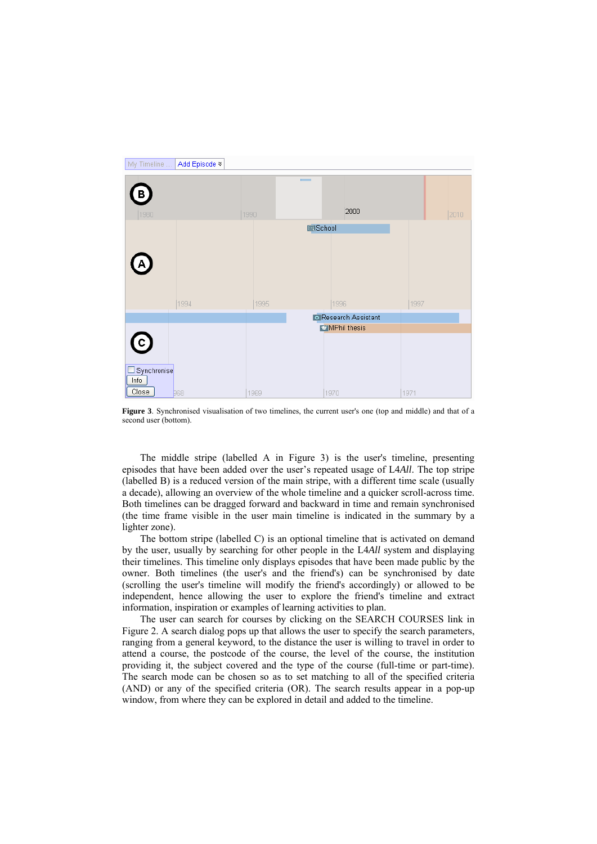

**Figure 3**. Synchronised visualisation of two timelines, the current user's one (top and middle) and that of a second user (bottom).

The middle stripe (labelled A in Figure 3) is the user's timeline, presenting episodes that have been added over the user's repeated usage of L4*All*. The top stripe (labelled B) is a reduced version of the main stripe, with a different time scale (usually a decade), allowing an overview of the whole timeline and a quicker scroll-across time. Both timelines can be dragged forward and backward in time and remain synchronised (the time frame visible in the user main timeline is indicated in the summary by a lighter zone).

The bottom stripe (labelled C) is an optional timeline that is activated on demand by the user, usually by searching for other people in the L4*All* system and displaying their timelines. This timeline only displays episodes that have been made public by the owner. Both timelines (the user's and the friend's) can be synchronised by date (scrolling the user's timeline will modify the friend's accordingly) or allowed to be independent, hence allowing the user to explore the friend's timeline and extract information, inspiration or examples of learning activities to plan.

The user can search for courses by clicking on the SEARCH COURSES link in Figure 2. A search dialog pops up that allows the user to specify the search parameters, ranging from a general keyword, to the distance the user is willing to travel in order to attend a course, the postcode of the course, the level of the course, the institution providing it, the subject covered and the type of the course (full-time or part-time). The search mode can be chosen so as to set matching to all of the specified criteria (AND) or any of the specified criteria (OR). The search results appear in a pop-up window, from where they can be explored in detail and added to the timeline.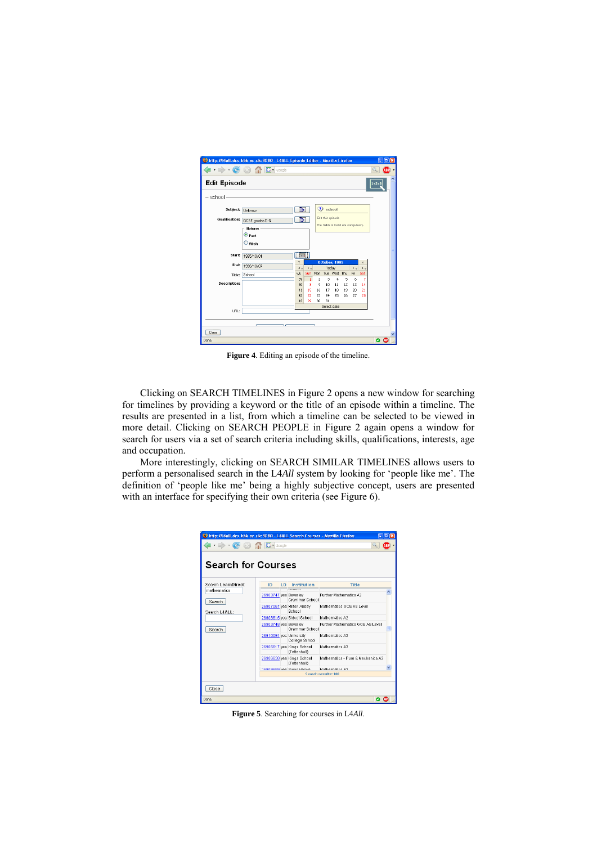|                       | http://l4all.dcs.bbk.ac.uk:8080 - L4ALL Episode Editor - Mozilla Firefox |                 |                       |                       |                          |                                |    |                                    |                           |             | 1-11- |  |
|-----------------------|--------------------------------------------------------------------------|-----------------|-----------------------|-----------------------|--------------------------|--------------------------------|----|------------------------------------|---------------------------|-------------|-------|--|
|                       | $\cdots$ $\cdots$ $\cdots$ $\cdots$ $\cdots$ $\cdots$                    |                 |                       |                       |                          |                                |    |                                    |                           | Q           | ABP   |  |
| <b>Edit Episode</b>   |                                                                          |                 |                       |                       |                          |                                |    |                                    |                           | $1 + 2 = 3$ |       |  |
| $-$ school -          |                                                                          |                 |                       |                       |                          |                                |    |                                    |                           |             |       |  |
| Subject:              | Unknow                                                                   | T-              |                       |                       | <b>D</b> school          |                                |    |                                    |                           |             |       |  |
| <b>Qualification:</b> | GCSE grades D-G                                                          | <b>Ite</b>      |                       |                       | <b>Edit this episode</b> |                                |    | The fields in bold are compulsory. |                           |             |       |  |
|                       | Hature: -<br>$\odot$ Fact                                                |                 |                       |                       |                          |                                |    |                                    |                           |             |       |  |
|                       | Owsh                                                                     |                 |                       |                       |                          |                                |    |                                    |                           |             |       |  |
| Start:                | 1995/10/01                                                               | <u>lim</u>      |                       |                       |                          | <b>October, 1995</b>           |    |                                    |                           |             |       |  |
| End:                  | 1996/10/07                                                               | ?<br>$\alpha$ . | $\epsilon$            |                       | Today                    |                                |    | $\rightarrow$                      | $\times$<br>$\rightarrow$ |             |       |  |
| Title:                | School                                                                   | wk<br>39        | Sun<br>$\blacksquare$ | Mon<br>$\overline{c}$ | 3                        | Tue Wed Thu<br>$\ddot{\bf{4}}$ | 5  | Fri<br>6                           | Sat<br>7                  |             |       |  |
| <b>Description:</b>   |                                                                          | 40              | 8                     | 9                     | 10                       | 11                             | 12 | 13                                 | 14                        |             |       |  |
|                       |                                                                          | 41<br>42        | 15<br>22              | 16                    | 17                       | 18<br>25                       | 19 | 20<br>27                           | 21                        |             |       |  |
|                       |                                                                          | 43              | 29                    | 23<br>30              | 24<br>31                 |                                | 26 |                                    | 28                        |             |       |  |
| URL:                  |                                                                          |                 |                       |                       | Select date              |                                |    |                                    |                           |             |       |  |
|                       |                                                                          |                 |                       |                       |                          |                                |    |                                    |                           |             |       |  |
|                       |                                                                          |                 |                       |                       |                          |                                |    |                                    |                           |             |       |  |
| Close                 |                                                                          |                 |                       |                       |                          |                                |    |                                    |                           |             |       |  |
| Done                  |                                                                          |                 |                       |                       |                          |                                |    |                                    |                           | ۰           | Æ     |  |

**Figure 4**. Editing an episode of the timeline.

Clicking on SEARCH TIMELINES in Figure 2 opens a new window for searching for timelines by providing a keyword or the title of an episode within a timeline. The results are presented in a list, from which a timeline can be selected to be viewed in more detail. Clicking on SEARCH PEOPLE in Figure 2 again opens a window for search for users via a set of search criteria including skills, qualifications, interests, age and occupation.

More interestingly, clicking on SEARCH SIMILAR TIMELINES allows users to perform a personalised search in the L4*All* system by looking for 'people like me'. The definition of 'people like me' being a highly subjective concept, users are presented with an interface for specifying their own criteria (see Figure 6).



**Figure 5**. Searching for courses in L4*All*.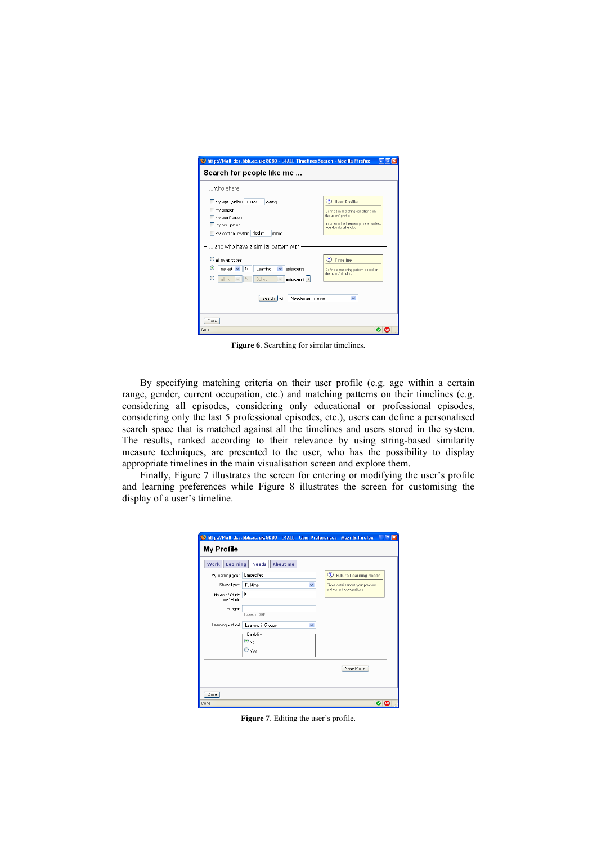| http://l4all.dcs.bbk.ac.uk:8080 - L4ALL Timelines Search - Mozilla Firefox                                    | I - 110                                                         |
|---------------------------------------------------------------------------------------------------------------|-----------------------------------------------------------------|
| Search for people like me                                                                                     |                                                                 |
| who share                                                                                                     |                                                                 |
| my age (within nicolas<br>vears)                                                                              | ?) User Profile                                                 |
| my gender<br>my qualification                                                                                 | Define the matching conditions on<br>the users' profile.        |
| my occupation                                                                                                 | Your email will remain private, unless<br>vou decide otherwise. |
| my location (within nicolas<br>miles)                                                                         |                                                                 |
| and who have a similar pattern with                                                                           |                                                                 |
| all my episodes                                                                                               | Ŧ<br>Timeline                                                   |
| ◉<br>5<br>my last v<br>Learning<br>episode(s)<br>$\checkmark$<br>∩<br>$episode(s)$ +<br>5<br>School<br>all my | Define a matching pattern based on<br>the users' timeline       |
| Needleman Timeline                                                                                            |                                                                 |
| Search<br>with                                                                                                | $\checkmark$                                                    |
| Close                                                                                                         |                                                                 |
| Done                                                                                                          |                                                                 |

**Figure 6**. Searching for similar timelines.

By specifying matching criteria on their user profile (e.g. age within a certain range, gender, current occupation, etc.) and matching patterns on their timelines (e.g. considering all episodes, considering only educational or professional episodes, considering only the last 5 professional episodes, etc.), users can define a personalised search space that is matched against all the timelines and users stored in the system. The results, ranked according to their relevance by using string-based similarity measure techniques, are presented to the user, who has the possibility to display appropriate timelines in the main visualisation screen and explore them.

Finally, Figure 7 illustrates the screen for entering or modifying the user's profile and learning preferences while Figure 8 illustrates the screen for customising the display of a user's timeline.

| Learning<br><b>Work</b> | Needs   About me                   |                                                              |  |  |
|-------------------------|------------------------------------|--------------------------------------------------------------|--|--|
| My learning goal:       | Unspecified                        | <sup>2</sup> Future Learning Needs                           |  |  |
| Study Type:             | Full-time<br>$\checkmark$          | Gives details about your previous<br>and current occupations |  |  |
| Hours of Study   0      |                                    |                                                              |  |  |
| per Week:               |                                    |                                                              |  |  |
| Budget:                 |                                    |                                                              |  |  |
|                         | <b>Budget in GBP</b>               |                                                              |  |  |
| Learning Method         | Learning in Groups<br>$\checkmark$ |                                                              |  |  |
|                         | Disability:                        |                                                              |  |  |
|                         | $\odot$ No                         |                                                              |  |  |
|                         | O yes                              |                                                              |  |  |
|                         |                                    |                                                              |  |  |
|                         |                                    | Save Profile                                                 |  |  |
|                         |                                    |                                                              |  |  |

**Figure 7**. Editing the user's profile.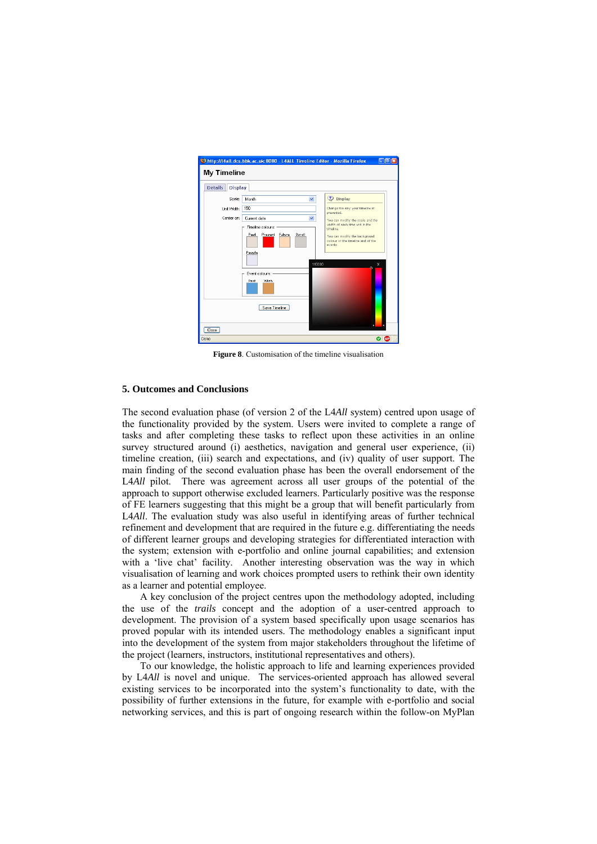

**Figure 8**. Customisation of the timeline visualisation

## **5. Outcomes and Conclusions**

The second evaluation phase (of version 2 of the L4*All* system) centred upon usage of the functionality provided by the system. Users were invited to complete a range of tasks and after completing these tasks to reflect upon these activities in an online survey structured around (i) aesthetics, navigation and general user experience, (ii) timeline creation, (iii) search and expectations, and (iv) quality of user support. The main finding of the second evaluation phase has been the overall endorsement of the L4*All* pilot. There was agreement across all user groups of the potential of the approach to support otherwise excluded learners. Particularly positive was the response of FE learners suggesting that this might be a group that will benefit particularly from L4*All*. The evaluation study was also useful in identifying areas of further technical refinement and development that are required in the future e.g. differentiating the needs of different learner groups and developing strategies for differentiated interaction with the system; extension with e-portfolio and online journal capabilities; and extension with a 'live chat' facility. Another interesting observation was the way in which visualisation of learning and work choices prompted users to rethink their own identity as a learner and potential employee.

A key conclusion of the project centres upon the methodology adopted, including the use of the *trails* concept and the adoption of a user-centred approach to development. The provision of a system based specifically upon usage scenarios has proved popular with its intended users. The methodology enables a significant input into the development of the system from major stakeholders throughout the lifetime of the project (learners, instructors, institutional representatives and others).

To our knowledge, the holistic approach to life and learning experiences provided by L4*All* is novel and unique. The services-oriented approach has allowed several existing services to be incorporated into the system's functionality to date, with the possibility of further extensions in the future, for example with e-portfolio and social networking services, and this is part of ongoing research within the follow-on MyPlan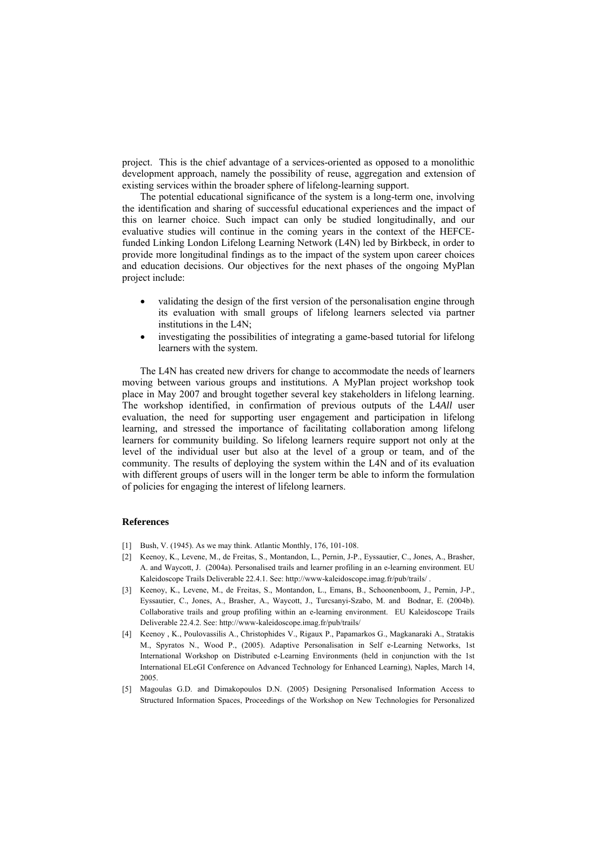project. This is the chief advantage of a services-oriented as opposed to a monolithic development approach, namely the possibility of reuse, aggregation and extension of existing services within the broader sphere of lifelong-learning support.

The potential educational significance of the system is a long-term one, involving the identification and sharing of successful educational experiences and the impact of this on learner choice. Such impact can only be studied longitudinally, and our evaluative studies will continue in the coming years in the context of the HEFCEfunded Linking London Lifelong Learning Network (L4N) led by Birkbeck, in order to provide more longitudinal findings as to the impact of the system upon career choices and education decisions. Our objectives for the next phases of the ongoing MyPlan project include:

- validating the design of the first version of the personalisation engine through its evaluation with small groups of lifelong learners selected via partner institutions in the L4N;
- investigating the possibilities of integrating a game-based tutorial for lifelong learners with the system.

The L4N has created new drivers for change to accommodate the needs of learners moving between various groups and institutions. A MyPlan project workshop took place in May 2007 and brought together several key stakeholders in lifelong learning. The workshop identified, in confirmation of previous outputs of the L4*All* user evaluation, the need for supporting user engagement and participation in lifelong learning, and stressed the importance of facilitating collaboration among lifelong learners for community building. So lifelong learners require support not only at the level of the individual user but also at the level of a group or team, and of the community. The results of deploying the system within the L4N and of its evaluation with different groups of users will in the longer term be able to inform the formulation of policies for engaging the interest of lifelong learners.

#### **References**

- [1] Bush, V. (1945). As we may think. Atlantic Monthly, 176, 101-108.
- [2] Keenoy, K., Levene, M., de Freitas, S., Montandon, L., Pernin, J-P., Eyssautier, C., Jones, A., Brasher, A. and Waycott, J. (2004a). Personalised trails and learner profiling in an e-learning environment. EU Kaleidoscope Trails Deliverable 22.4.1. See: http://www-kaleidoscope.imag.fr/pub/trails/ .
- [3] Keenoy, K., Levene, M., de Freitas, S., Montandon, L., Emans, B., Schoonenboom, J., Pernin, J-P., Eyssautier, C., Jones, A., Brasher, A., Waycott, J., Turcsanyi-Szabo, M. and Bodnar, E. (2004b). Collaborative trails and group profiling within an e-learning environment. EU Kaleidoscope Trails Deliverable 22.4.2. See: http://www-kaleidoscope.imag.fr/pub/trails/
- [4] Keenoy , K., Poulovassilis A., Christophides V., Rigaux P., Papamarkos G., Magkanaraki A., Stratakis M., Spyratos N., Wood P., (2005). Adaptive Personalisation in Self e-Learning Networks, 1st International Workshop on Distributed e-Learning Environments (held in conjunction with the 1st International ELeGI Conference on Advanced Technology for Enhanced Learning), Naples, March 14, 2005.
- [5] Magoulas G.D. and Dimakopoulos D.N. (2005) Designing Personalised Information Access to Structured Information Spaces, Proceedings of the Workshop on New Technologies for Personalized